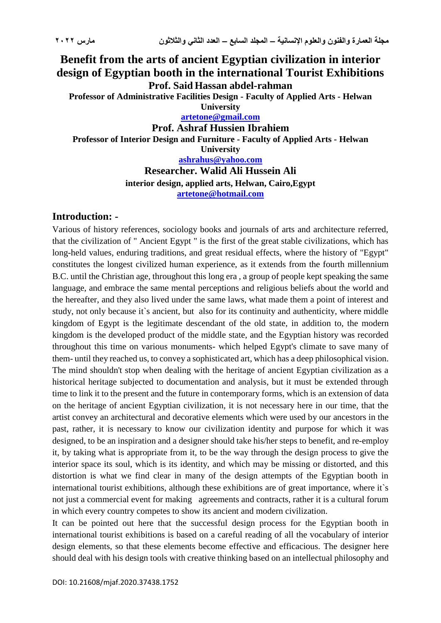## **Benefit from the arts of ancient Egyptian civilization in interior design of Egyptian booth in the international Tourist Exhibitions Prof. Said Hassan abdel-rahman Professor of Administrative Facilities Design - Faculty of Applied Arts - Helwan**

**University**

**[artetone@gmail.com](mailto:artetone@gmail.com)**

**Prof. Ashraf Hussien Ibrahiem**

**Professor of Interior Design and Furniture - Faculty of Applied Arts - Helwan University**

**[ashrahus@yahoo.com](mailto:ashrahus@yahoo.com)**

**Researcher. Walid Ali Hussein Ali interior design, applied arts, Helwan, Cairo,Egypt [artetone@hotmail.com](mailto:artetone@hotmail.com)**

#### **Introduction: -**

Various of history references, sociology books and journals of arts and architecture referred, that the civilization of " Ancient Egypt " is the first of the great stable civilizations, which has long-held values, enduring traditions, and great residual effects, where the history of "Egypt" constitutes the longest civilized human experience, as it extends from the fourth millennium B.C. until the Christian age, throughout this long era , a group of people kept speaking the same language, and embrace the same mental perceptions and religious beliefs about the world and the hereafter, and they also lived under the same laws, what made them a point of interest and study, not only because it`s ancient, but also for its continuity and authenticity, where middle kingdom of Egypt is the legitimate descendant of the old state, in addition to, the modern kingdom is the developed product of the middle state, and the Egyptian history was recorded throughout this time on various monuments- which helped Egypt's climate to save many of them- until they reached us, to convey a sophisticated art, which has a deep philosophical vision. The mind shouldn't stop when dealing with the heritage of ancient Egyptian civilization as a historical heritage subjected to documentation and analysis, but it must be extended through time to link it to the present and the future in contemporary forms, which is an extension of data on the heritage of ancient Egyptian civilization, it is not necessary here in our time, that the artist convey an architectural and decorative elements which were used by our ancestors in the past, rather, it is necessary to know our civilization identity and purpose for which it was designed, to be an inspiration and a designer should take his/her steps to benefit, and re-employ it, by taking what is appropriate from it, to be the way through the design process to give the interior space its soul, which is its identity, and which may be missing or distorted, and this distortion is what we find clear in many of the design attempts of the Egyptian booth in international tourist exhibitions, although these exhibitions are of great importance, where it`s not just a commercial event for making agreements and contracts, rather it is a cultural forum in which every country competes to show its ancient and modern civilization.

It can be pointed out here that the successful design process for the Egyptian booth in international tourist exhibitions is based on a careful reading of all the vocabulary of interior design elements, so that these elements become effective and efficacious. The designer here should deal with his design tools with creative thinking based on an intellectual philosophy and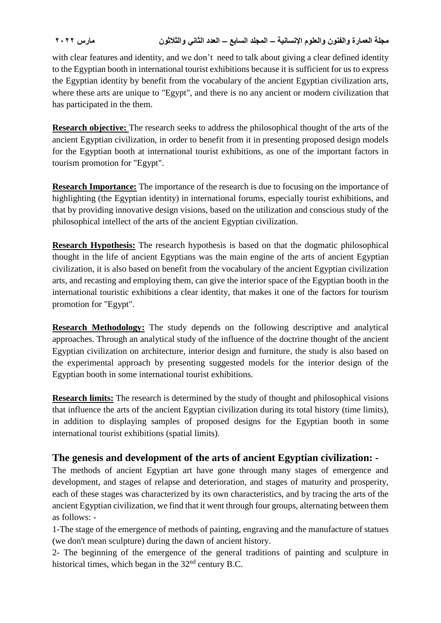with clear features and identity, and we don't need to talk about giving a clear defined identity to the Egyptian booth in international tourist exhibitions because it is sufficient for us to express the Egyptian identity by benefit from the vocabulary of the ancient Egyptian civilization arts, where these arts are unique to "Egypt", and there is no any ancient or modern civilization that has participated in the them.

**Research objective:** The research seeks to address the philosophical thought of the arts of the ancient Egyptian civilization, in order to benefit from it in presenting proposed design models for the Egyptian booth at international tourist exhibitions, as one of the important factors in tourism promotion for "Egypt".

**Research Importance:** The importance of the research is due to focusing on the importance of highlighting (the Egyptian identity) in international forums, especially tourist exhibitions, and that by providing innovative design visions, based on the utilization and conscious study of the philosophical intellect of the arts of the ancient Egyptian civilization.

**Research Hypothesis:** The research hypothesis is based on that the dogmatic philosophical thought in the life of ancient Egyptians was the main engine of the arts of ancient Egyptian civilization, it is also based on benefit from the vocabulary of the ancient Egyptian civilization arts, and recasting and employing them, can give the interior space of the Egyptian booth in the international touristic exhibitions a clear identity, that makes it one of the factors for tourism promotion for "Egypt".

**Research Methodology:** The study depends on the following descriptive and analytical approaches. Through an analytical study of the influence of the doctrine thought of the ancient Egyptian civilization on architecture, interior design and furniture, the study is also based on the experimental approach by presenting suggested models for the interior design of the Egyptian booth in some international tourist exhibitions.

**Research limits:** The research is determined by the study of thought and philosophical visions that influence the arts of the ancient Egyptian civilization during its total history (time limits), in addition to displaying samples of proposed designs for the Egyptian booth in some international tourist exhibitions (spatial limits).

# **The genesis and development of the arts of ancient Egyptian civilization: -**

The methods of ancient Egyptian art have gone through many stages of emergence and development, and stages of relapse and deterioration, and stages of maturity and prosperity, each of these stages was characterized by its own characteristics, and by tracing the arts of the ancient Egyptian civilization, we find that it went through four groups, alternating between them as follows: -

1-The stage of the emergence of methods of painting, engraving and the manufacture of statues (we don't mean sculpture) during the dawn of ancient history.

2- The beginning of the emergence of the general traditions of painting and sculpture in historical times, which began in the  $32<sup>nd</sup>$  century B.C.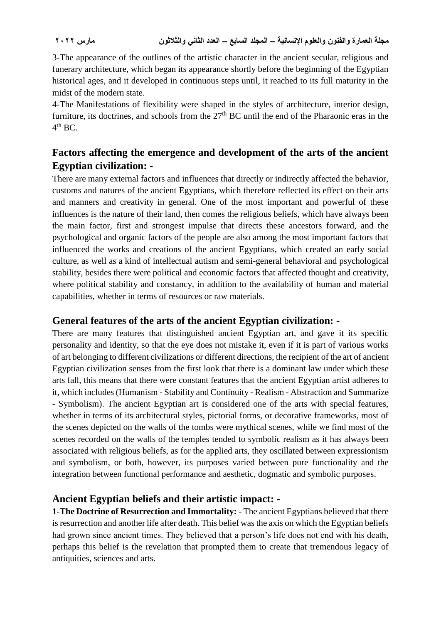3-The appearance of the outlines of the artistic character in the ancient secular, religious and funerary architecture, which began its appearance shortly before the beginning of the Egyptian historical ages, and it developed in continuous steps until, it reached to its full maturity in the midst of the modern state.

4-The Manifestations of flexibility were shaped in the styles of architecture, interior design, furniture, its doctrines, and schools from the  $27<sup>th</sup>$  BC until the end of the Pharaonic eras in the  $4^{\text{th}}$  BC.

# **Factors affecting the emergence and development of the arts of the ancient Egyptian civilization: -**

There are many external factors and influences that directly or indirectly affected the behavior, customs and natures of the ancient Egyptians, which therefore reflected its effect on their arts and manners and creativity in general. One of the most important and powerful of these influences is the nature of their land, then comes the religious beliefs, which have always been the main factor, first and strongest impulse that directs these ancestors forward, and the psychological and organic factors of the people are also among the most important factors that influenced the works and creations of the ancient Egyptians, which created an early social culture, as well as a kind of intellectual autism and semi-general behavioral and psychological stability, besides there were political and economic factors that affected thought and creativity, where political stability and constancy, in addition to the availability of human and material capabilities, whether in terms of resources or raw materials.

## **General features of the arts of the ancient Egyptian civilization: -**

There are many features that distinguished ancient Egyptian art, and gave it its specific personality and identity, so that the eye does not mistake it, even if it is part of various works of art belonging to different civilizations or different directions, the recipient of the art of ancient Egyptian civilization senses from the first look that there is a dominant law under which these arts fall, this means that there were constant features that the ancient Egyptian artist adheres to it, which includes(Humanism - Stability and Continuity - Realism - Abstraction and Summarize - Symbolism). The ancient Egyptian art is considered one of the arts with special features, whether in terms of its architectural styles, pictorial forms, or decorative frameworks, most of the scenes depicted on the walls of the tombs were mythical scenes, while we find most of the scenes recorded on the walls of the temples tended to symbolic realism as it has always been associated with religious beliefs, as for the applied arts, they oscillated between expressionism and symbolism, or both, however, its purposes varied between pure functionality and the integration between functional performance and aesthetic, dogmatic and symbolic purposes.

## **Ancient Egyptian beliefs and their artistic impact: -**

**1-The Doctrine of Resurrection and Immortality: -** The ancient Egyptians believed that there is resurrection and another life after death. This belief was the axis on which the Egyptian beliefs had grown since ancient times. They believed that a person's life does not end with his death, perhaps this belief is the revelation that prompted them to create that tremendous legacy of antiquities, sciences and arts.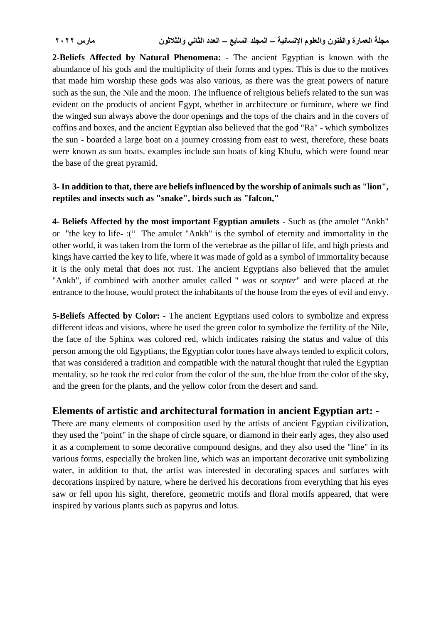**2-Beliefs Affected by Natural Phenomena: -** The ancient Egyptian is known with the abundance of his gods and the multiplicity of their forms and types. This is due to the motives that made him worship these gods was also various, as there was the great powers of nature such as the sun, the Nile and the moon. The influence of religious beliefs related to the sun was evident on the products of ancient Egypt, whether in architecture or furniture, where we find the winged sun always above the door openings and the tops of the chairs and in the covers of coffins and boxes, and the ancient Egyptian also believed that the god "Ra" - which symbolizes the sun - boarded a large boat on a journey crossing from east to west, therefore, these boats were known as sun boats. examples include sun boats of king Khufu, which were found near the base of the great pyramid.

#### **3- In addition to that, there are beliefs influenced by the worship of animals such as "lion", reptiles and insects such as "snake", birds such as "falcon,"**

**4- Beliefs Affected by the most important Egyptian amulets** - Such as (the amulet "Ankh" or "the key to life-:(" The amulet "Ankh" is the symbol of eternity and immortality in the other world, it was taken from the form of the vertebrae as the pillar of life, and high priests and kings have carried the key to life, where it was made of gold as a symbol of immortality because it is the only metal that does not rust. The ancient Egyptians also believed that the amulet "Ankh", if combined with another amulet called " *was* or *scepter*" and were placed at the entrance to the house, would protect the inhabitants of the house from the eyes of evil and envy.

**5-Beliefs Affected by Color: -** The ancient Egyptians used colors to symbolize and express different ideas and visions, where he used the green color to symbolize the fertility of the Nile, the face of the Sphinx was colored red, which indicates raising the status and value of this person among the old Egyptians, the Egyptian color tones have always tended to explicit colors, that was considered a tradition and compatible with the natural thought that ruled the Egyptian mentality, so he took the red color from the color of the sun, the blue from the color of the sky, and the green for the plants, and the yellow color from the desert and sand.

## **Elements of artistic and architectural formation in ancient Egyptian art: -**

There are many elements of composition used by the artists of ancient Egyptian civilization, they used the "point" in the shape of circle square, or diamond in their early ages, they also used it as a complement to some decorative compound designs, and they also used the "line" in its various forms, especially the broken line, which was an important decorative unit symbolizing water, in addition to that, the artist was interested in decorating spaces and surfaces with decorations inspired by nature, where he derived his decorations from everything that his eyes saw or fell upon his sight, therefore, geometric motifs and floral motifs appeared, that were inspired by various plants such as papyrus and lotus.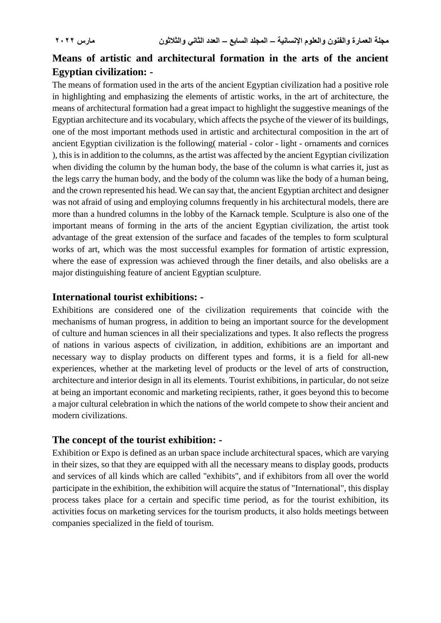# **Means of artistic and architectural formation in the arts of the ancient Egyptian civilization: -**

The means of formation used in the arts of the ancient Egyptian civilization had a positive role in highlighting and emphasizing the elements of artistic works, in the art of architecture, the means of architectural formation had a great impact to highlight the suggestive meanings of the Egyptian architecture and its vocabulary, which affects the psyche of the viewer of its buildings, one of the most important methods used in artistic and architectural composition in the art of ancient Egyptian civilization is the following( material - color - light - ornaments and cornices ), this is in addition to the columns, as the artist was affected by the ancient Egyptian civilization when dividing the column by the human body, the base of the column is what carries it, just as the legs carry the human body, and the body of the column was like the body of a human being, and the crown represented his head. We can say that, the ancient Egyptian architect and designer was not afraid of using and employing columns frequently in his architectural models, there are more than a hundred columns in the lobby of the Karnack temple. Sculpture is also one of the important means of forming in the arts of the ancient Egyptian civilization, the artist took advantage of the great extension of the surface and facades of the temples to form sculptural works of art, which was the most successful examples for formation of artistic expression, where the ease of expression was achieved through the finer details, and also obelisks are a major distinguishing feature of ancient Egyptian sculpture.

#### **International tourist exhibitions: -**

Exhibitions are considered one of the civilization requirements that coincide with the mechanisms of human progress, in addition to being an important source for the development of culture and human sciences in all their specializations and types. It also reflects the progress of nations in various aspects of civilization, in addition, exhibitions are an important and necessary way to display products on different types and forms, it is a field for all-new experiences, whether at the marketing level of products or the level of arts of construction, architecture and interior design in all its elements. Tourist exhibitions, in particular, do not seize at being an important economic and marketing recipients, rather, it goes beyond this to become a major cultural celebration in which the nations of the world compete to show their ancient and modern civilizations.

#### **The concept of the tourist exhibition: -**

Exhibition or Expo is defined as an urban space include architectural spaces, which are varying in their sizes, so that they are equipped with all the necessary means to display goods, products and services of all kinds which are called "exhibits", and if exhibitors from all over the world participate in the exhibition, the exhibition will acquire the status of "International", this display process takes place for a certain and specific time period, as for the tourist exhibition, its activities focus on marketing services for the tourism products, it also holds meetings between companies specialized in the field of tourism.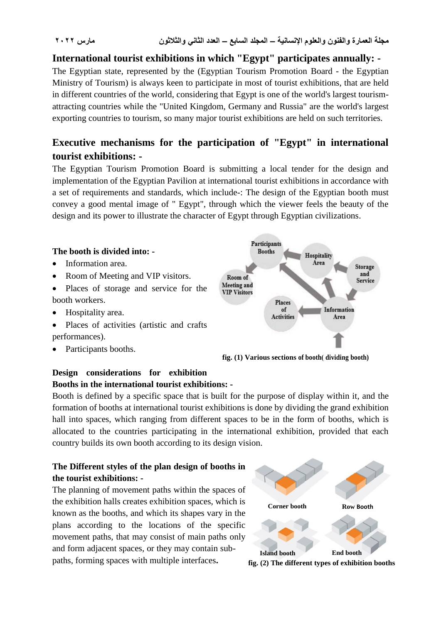## **International tourist exhibitions in which "Egypt" participates annually: -**

The Egyptian state, represented by the (Egyptian Tourism Promotion Board - the Egyptian Ministry of Tourism) is always keen to participate in most of tourist exhibitions, that are held in different countries of the world, considering that Egypt is one of the world's largest tourismattracting countries while the "United Kingdom, Germany and Russia" are the world's largest exporting countries to tourism, so many major tourist exhibitions are held on such territories.

# **Executive mechanisms for the participation of "Egypt" in international tourist exhibitions: -**

The Egyptian Tourism Promotion Board is submitting a local tender for the design and implementation of the Egyptian Pavilion at international tourist exhibitions in accordance with a set of requirements and standards, which include-: The design of the Egyptian booth must convey a good mental image of " Egypt", through which the viewer feels the beauty of the design and its power to illustrate the character of Egypt through Egyptian civilizations.



#### **Design considerations for exhibition Booths in the international tourist exhibitions: -**

Booth is defined by a specific space that is built for the purpose of display within it, and the formation of booths at international tourist exhibitions is done by dividing the grand exhibition hall into spaces, which ranging from different spaces to be in the form of booths, which is allocated to the countries participating in the international exhibition, provided that each country builds its own booth according to its design vision.

#### **The Different styles of the plan design of booths in the tourist exhibitions: -**

The planning of movement paths within the spaces of the exhibition halls creates exhibition spaces, which is known as the booths, and which its shapes vary in the plans according to the locations of the specific movement paths, that may consist of main paths only and form adjacent spaces, or they may contain subpaths, forming spaces with multiple interfaces**.**



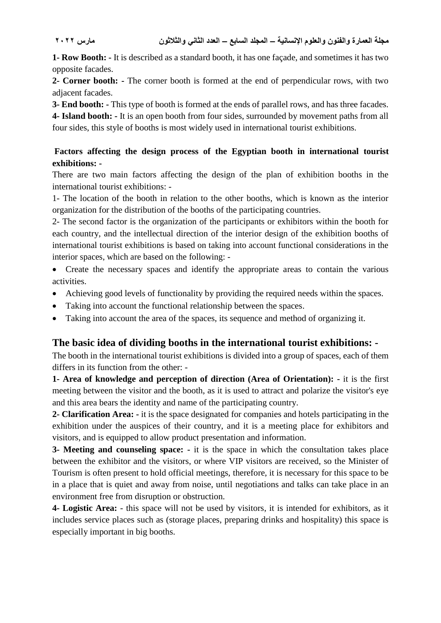**1- Row Booth: -** It is described as a standard booth, it has one façade, and sometimes it has two opposite facades.

**2- Corner booth: -** The corner booth is formed at the end of perpendicular rows, with two adjacent facades.

**3- End booth: -** This type of booth is formed at the ends of parallel rows, and has three facades.

**4- Island booth: -** It is an open booth from four sides, surrounded by movement paths from all four sides, this style of booths is most widely used in international tourist exhibitions.

#### **Factors affecting the design process of the Egyptian booth in international tourist exhibitions: -**

There are two main factors affecting the design of the plan of exhibition booths in the international tourist exhibitions: -

1- The location of the booth in relation to the other booths, which is known as the interior organization for the distribution of the booths of the participating countries.

2- The second factor is the organization of the participants or exhibitors within the booth for each country, and the intellectual direction of the interior design of the exhibition booths of international tourist exhibitions is based on taking into account functional considerations in the interior spaces, which are based on the following: -

• Create the necessary spaces and identify the appropriate areas to contain the various activities.

- Achieving good levels of functionality by providing the required needs within the spaces.
- Taking into account the functional relationship between the spaces.
- Taking into account the area of the spaces, its sequence and method of organizing it.

## **The basic idea of dividing booths in the international tourist exhibitions: -**

The booth in the international tourist exhibitions is divided into a group of spaces, each of them differs in its function from the other: -

**1- Area of knowledge and perception of direction (Area of Orientation): -** it is the first meeting between the visitor and the booth, as it is used to attract and polarize the visitor's eye and this area bears the identity and name of the participating country.

**2- Clarification Area: -** it is the space designated for companies and hotels participating in the exhibition under the auspices of their country, and it is a meeting place for exhibitors and visitors, and is equipped to allow product presentation and information.

**3- Meeting and counseling space: -** it is the space in which the consultation takes place between the exhibitor and the visitors, or where VIP visitors are received, so the Minister of Tourism is often present to hold official meetings, therefore, it is necessary for this space to be in a place that is quiet and away from noise, until negotiations and talks can take place in an environment free from disruption or obstruction.

**4- Logistic Area:** - this space will not be used by visitors, it is intended for exhibitors, as it includes service places such as (storage places, preparing drinks and hospitality) this space is especially important in big booths.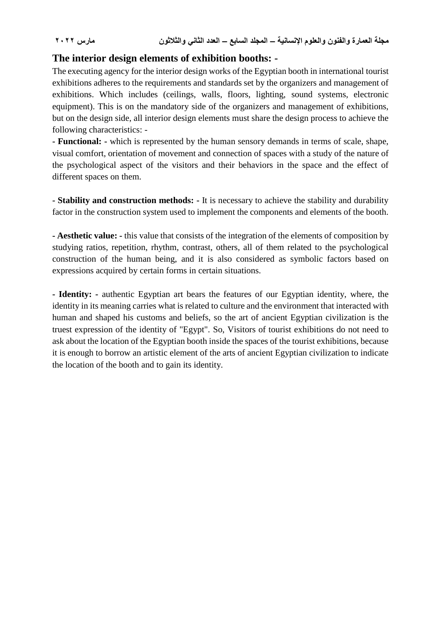#### **The interior design elements of exhibition booths: -**

The executing agency for the interior design works of the Egyptian booth in international tourist exhibitions adheres to the requirements and standards set by the organizers and management of exhibitions. Which includes (ceilings, walls, floors, lighting, sound systems, electronic equipment). This is on the mandatory side of the organizers and management of exhibitions, but on the design side, all interior design elements must share the design process to achieve the following characteristics: -

**- Functional: -** which is represented by the human sensory demands in terms of scale, shape, visual comfort, orientation of movement and connection of spaces with a study of the nature of the psychological aspect of the visitors and their behaviors in the space and the effect of different spaces on them.

**- Stability and construction methods: -** It is necessary to achieve the stability and durability factor in the construction system used to implement the components and elements of the booth.

**- Aesthetic value: -** this value that consists of the integration of the elements of composition by studying ratios, repetition, rhythm, contrast, others, all of them related to the psychological construction of the human being, and it is also considered as symbolic factors based on expressions acquired by certain forms in certain situations.

**- Identity: -** authentic Egyptian art bears the features of our Egyptian identity, where, the identity in its meaning carries what is related to culture and the environment that interacted with human and shaped his customs and beliefs, so the art of ancient Egyptian civilization is the truest expression of the identity of "Egypt". So, Visitors of tourist exhibitions do not need to ask about the location of the Egyptian booth inside the spaces of the tourist exhibitions, because it is enough to borrow an artistic element of the arts of ancient Egyptian civilization to indicate the location of the booth and to gain its identity.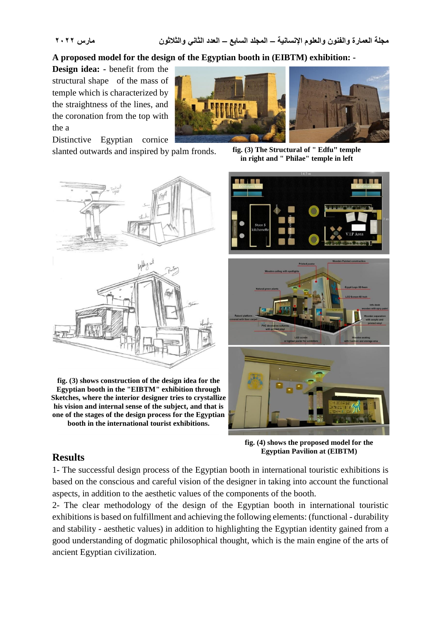#### **A proposed model for the design of the Egyptian booth in (EIBTM) exhibition: -**

**Design idea: -** benefit from the structural shape of the mass of temple which is characterized by the straightness of the lines, and the coronation from the top with the a



Distinctive Egyptian cornice slanted outwards and inspired by palm fronds.

**fig. (3) The Structural of " Edfu" temple in right and " Philae" temple in left**



**fig. (3) shows construction of the design idea for the Egyptian booth in the "EIBTM" exhibition through Sketches, where the interior designer tries to crystallize his vision and internal sense of the subject, and that is one of the stages of the design process for the Egyptian booth in the international tourist exhibitions.**



**fig. (4) shows the proposed model for the Egyptian Pavilion at (EIBTM)**

## **Results**

1- The successful design process of the Egyptian booth in international touristic exhibitions is based on the conscious and careful vision of the designer in taking into account the functional aspects, in addition to the aesthetic values of the components of the booth.

2- The clear methodology of the design of the Egyptian booth in international touristic exhibitions is based on fulfillment and achieving the following elements: (functional - durability and stability - aesthetic values) in addition to highlighting the Egyptian identity gained from a good understanding of dogmatic philosophical thought, which is the main engine of the arts of ancient Egyptian civilization.